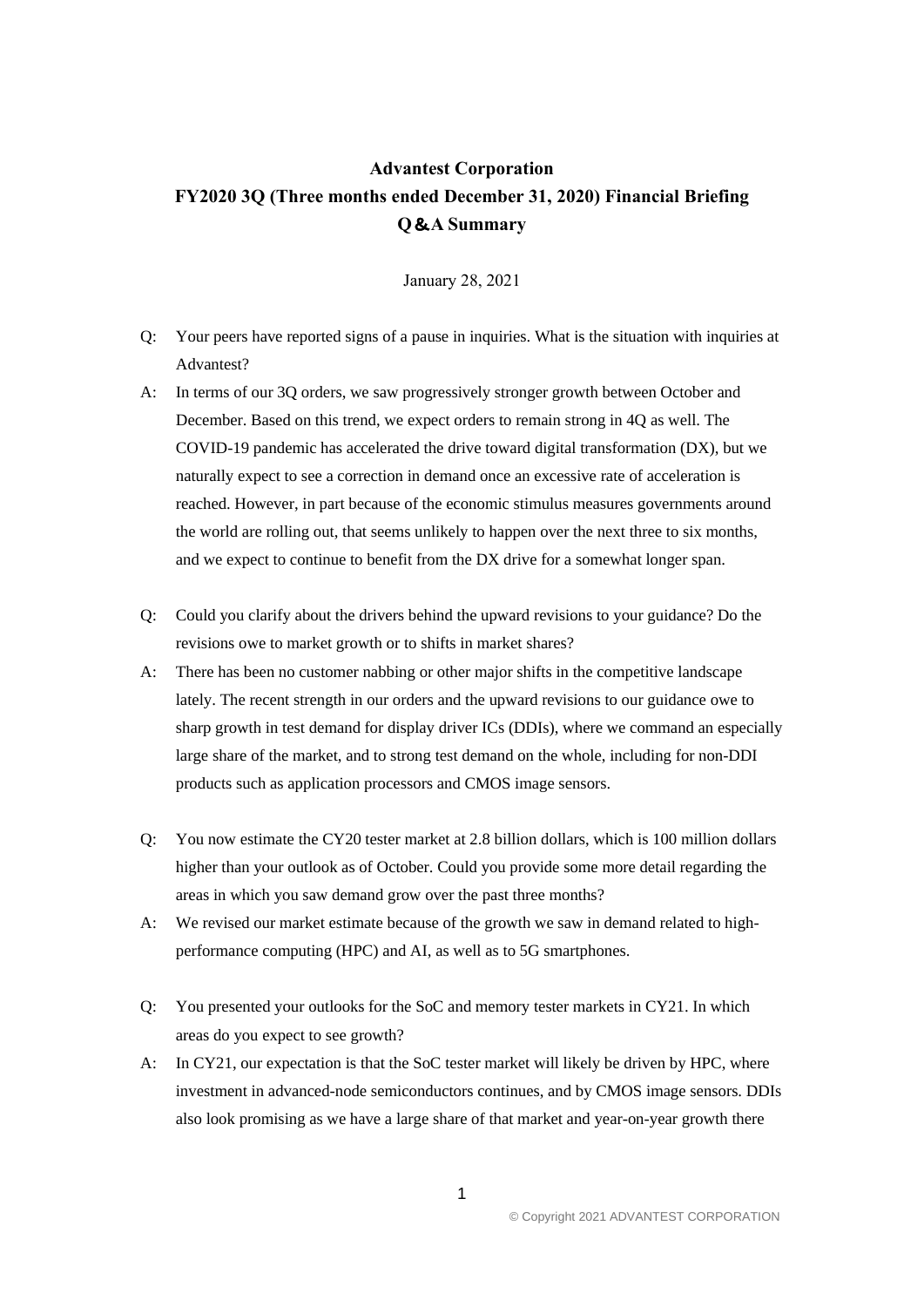## **Advantest Corporation FY2020 3Q (Three months ended December 31, 2020) Financial Briefing Q**&**A Summary**

January 28, 2021

- Q: Your peers have reported signs of a pause in inquiries. What is the situation with inquiries at Advantest?
- A: In terms of our 3Q orders, we saw progressively stronger growth between October and December. Based on this trend, we expect orders to remain strong in 4Q as well. The COVID-19 pandemic has accelerated the drive toward digital transformation (DX), but we naturally expect to see a correction in demand once an excessive rate of acceleration is reached. However, in part because of the economic stimulus measures governments around the world are rolling out, that seems unlikely to happen over the next three to six months, and we expect to continue to benefit from the DX drive for a somewhat longer span.
- Q: Could you clarify about the drivers behind the upward revisions to your guidance? Do the revisions owe to market growth or to shifts in market shares?
- A: There has been no customer nabbing or other major shifts in the competitive landscape lately. The recent strength in our orders and the upward revisions to our guidance owe to sharp growth in test demand for display driver ICs (DDIs), where we command an especially large share of the market, and to strong test demand on the whole, including for non-DDI products such as application processors and CMOS image sensors.
- Q: You now estimate the CY20 tester market at 2.8 billion dollars, which is 100 million dollars higher than your outlook as of October. Could you provide some more detail regarding the areas in which you saw demand grow over the past three months?
- A: We revised our market estimate because of the growth we saw in demand related to highperformance computing (HPC) and AI, as well as to 5G smartphones.
- Q: You presented your outlooks for the SoC and memory tester markets in CY21. In which areas do you expect to see growth?
- A: In CY21, our expectation is that the SoC tester market will likely be driven by HPC, where investment in advanced-node semiconductors continues, and by CMOS image sensors. DDIs also look promising as we have a large share of that market and year-on-year growth there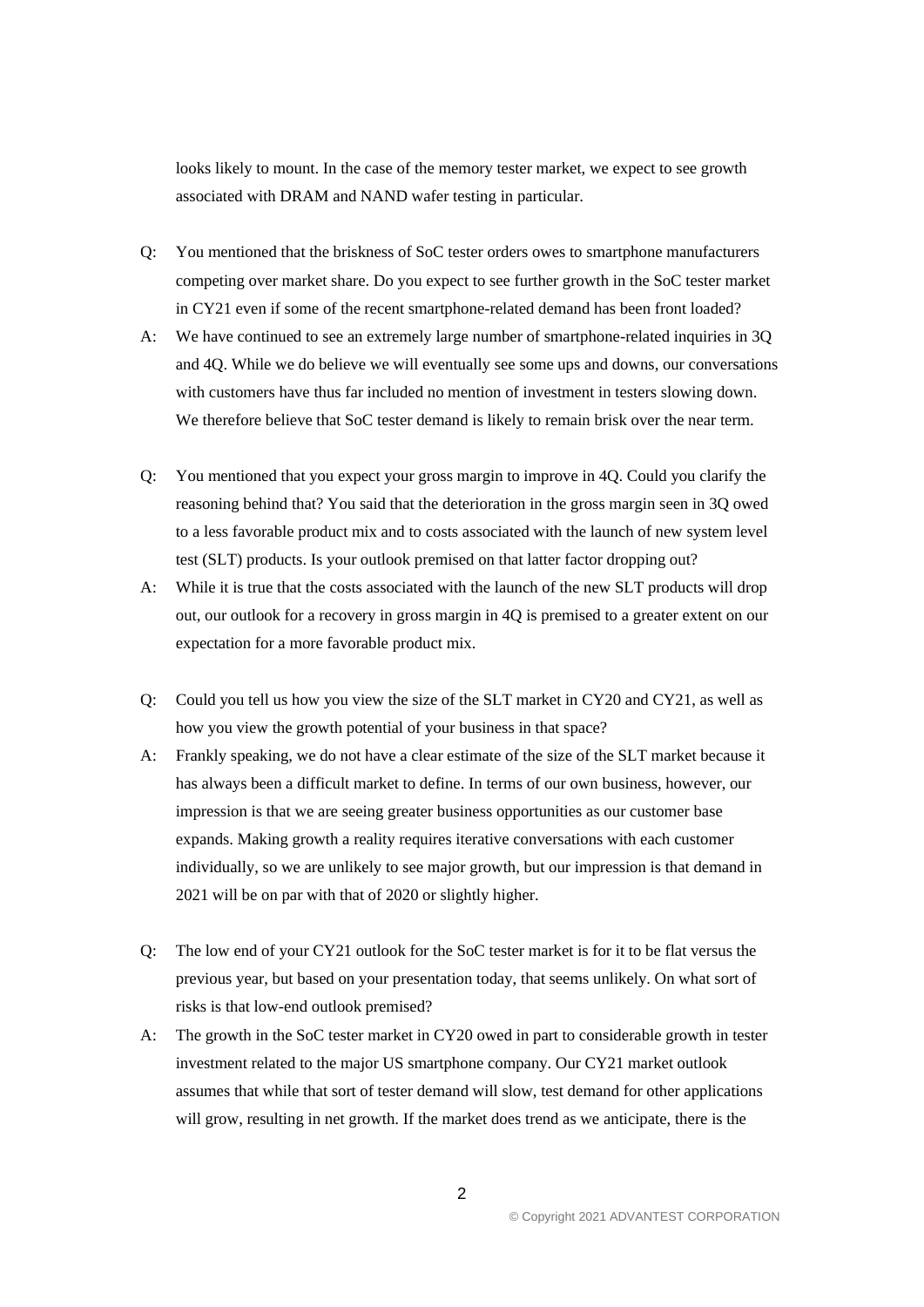looks likely to mount. In the case of the memory tester market, we expect to see growth associated with DRAM and NAND wafer testing in particular.

- Q: You mentioned that the briskness of SoC tester orders owes to smartphone manufacturers competing over market share. Do you expect to see further growth in the SoC tester market in CY21 even if some of the recent smartphone-related demand has been front loaded?
- A: We have continued to see an extremely large number of smartphone-related inquiries in 3Q and 4Q. While we do believe we will eventually see some ups and downs, our conversations with customers have thus far included no mention of investment in testers slowing down. We therefore believe that SoC tester demand is likely to remain brisk over the near term.
- Q: You mentioned that you expect your gross margin to improve in 4Q. Could you clarify the reasoning behind that? You said that the deterioration in the gross margin seen in 3Q owed to a less favorable product mix and to costs associated with the launch of new system level test (SLT) products. Is your outlook premised on that latter factor dropping out?
- A: While it is true that the costs associated with the launch of the new SLT products will drop out, our outlook for a recovery in gross margin in 4Q is premised to a greater extent on our expectation for a more favorable product mix.
- Q: Could you tell us how you view the size of the SLT market in CY20 and CY21, as well as how you view the growth potential of your business in that space?
- A: Frankly speaking, we do not have a clear estimate of the size of the SLT market because it has always been a difficult market to define. In terms of our own business, however, our impression is that we are seeing greater business opportunities as our customer base expands. Making growth a reality requires iterative conversations with each customer individually, so we are unlikely to see major growth, but our impression is that demand in 2021 will be on par with that of 2020 or slightly higher.
- Q: The low end of your CY21 outlook for the SoC tester market is for it to be flat versus the previous year, but based on your presentation today, that seems unlikely. On what sort of risks is that low-end outlook premised?
- A: The growth in the SoC tester market in CY20 owed in part to considerable growth in tester investment related to the major US smartphone company. Our CY21 market outlook assumes that while that sort of tester demand will slow, test demand for other applications will grow, resulting in net growth. If the market does trend as we anticipate, there is the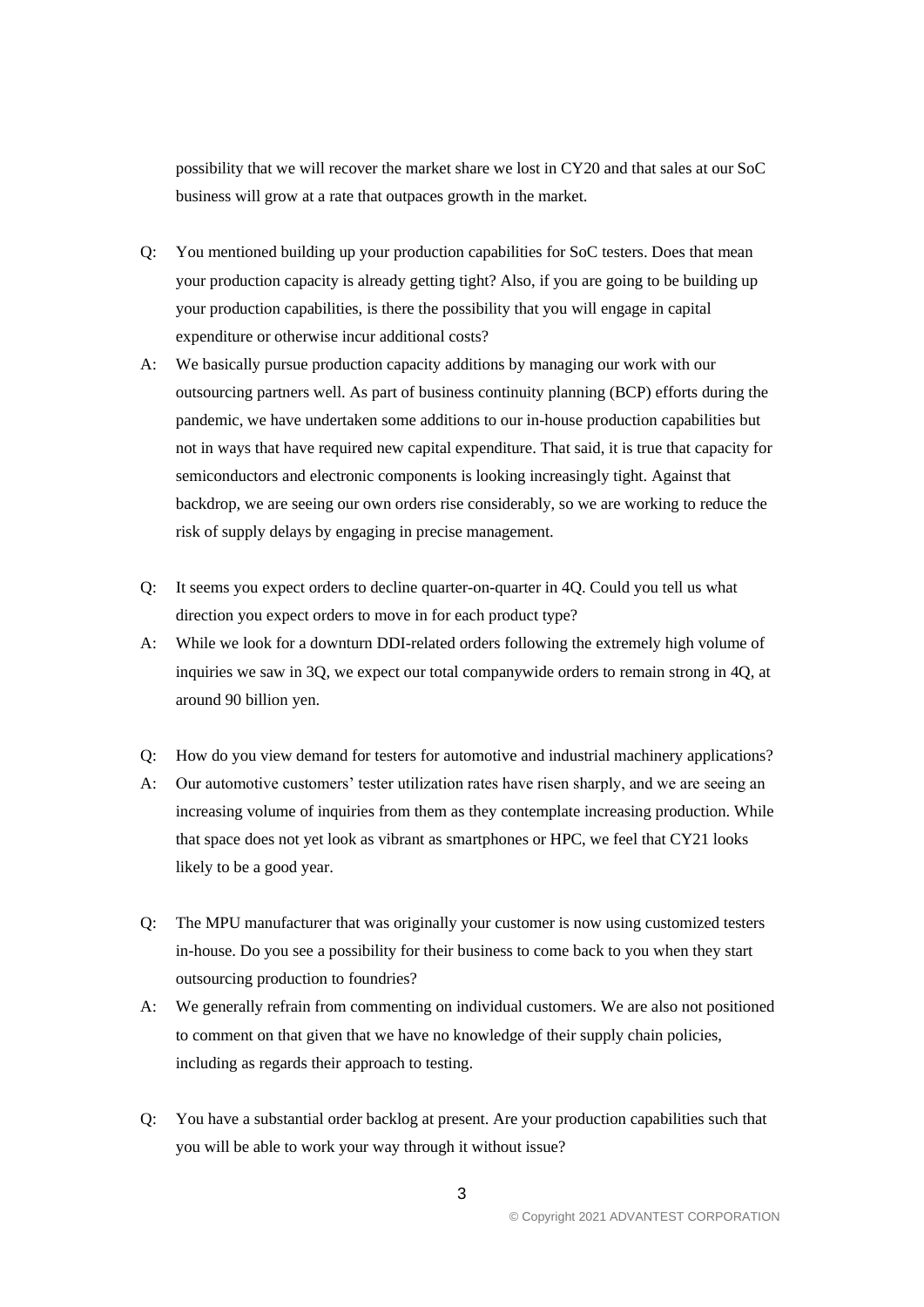possibility that we will recover the market share we lost in CY20 and that sales at our SoC business will grow at a rate that outpaces growth in the market.

- Q: You mentioned building up your production capabilities for SoC testers. Does that mean your production capacity is already getting tight? Also, if you are going to be building up your production capabilities, is there the possibility that you will engage in capital expenditure or otherwise incur additional costs?
- A: We basically pursue production capacity additions by managing our work with our outsourcing partners well. As part of business continuity planning (BCP) efforts during the pandemic, we have undertaken some additions to our in-house production capabilities but not in ways that have required new capital expenditure. That said, it is true that capacity for semiconductors and electronic components is looking increasingly tight. Against that backdrop, we are seeing our own orders rise considerably, so we are working to reduce the risk of supply delays by engaging in precise management.
- Q: It seems you expect orders to decline quarter-on-quarter in 4Q. Could you tell us what direction you expect orders to move in for each product type?
- A: While we look for a downturn DDI-related orders following the extremely high volume of inquiries we saw in 3Q, we expect our total companywide orders to remain strong in 4Q, at around 90 billion yen.
- Q: How do you view demand for testers for automotive and industrial machinery applications?
- A: Our automotive customers' tester utilization rates have risen sharply, and we are seeing an increasing volume of inquiries from them as they contemplate increasing production. While that space does not yet look as vibrant as smartphones or HPC, we feel that CY21 looks likely to be a good year.
- Q: The MPU manufacturer that was originally your customer is now using customized testers in-house. Do you see a possibility for their business to come back to you when they start outsourcing production to foundries?
- A: We generally refrain from commenting on individual customers. We are also not positioned to comment on that given that we have no knowledge of their supply chain policies, including as regards their approach to testing.
- Q: You have a substantial order backlog at present. Are your production capabilities such that you will be able to work your way through it without issue?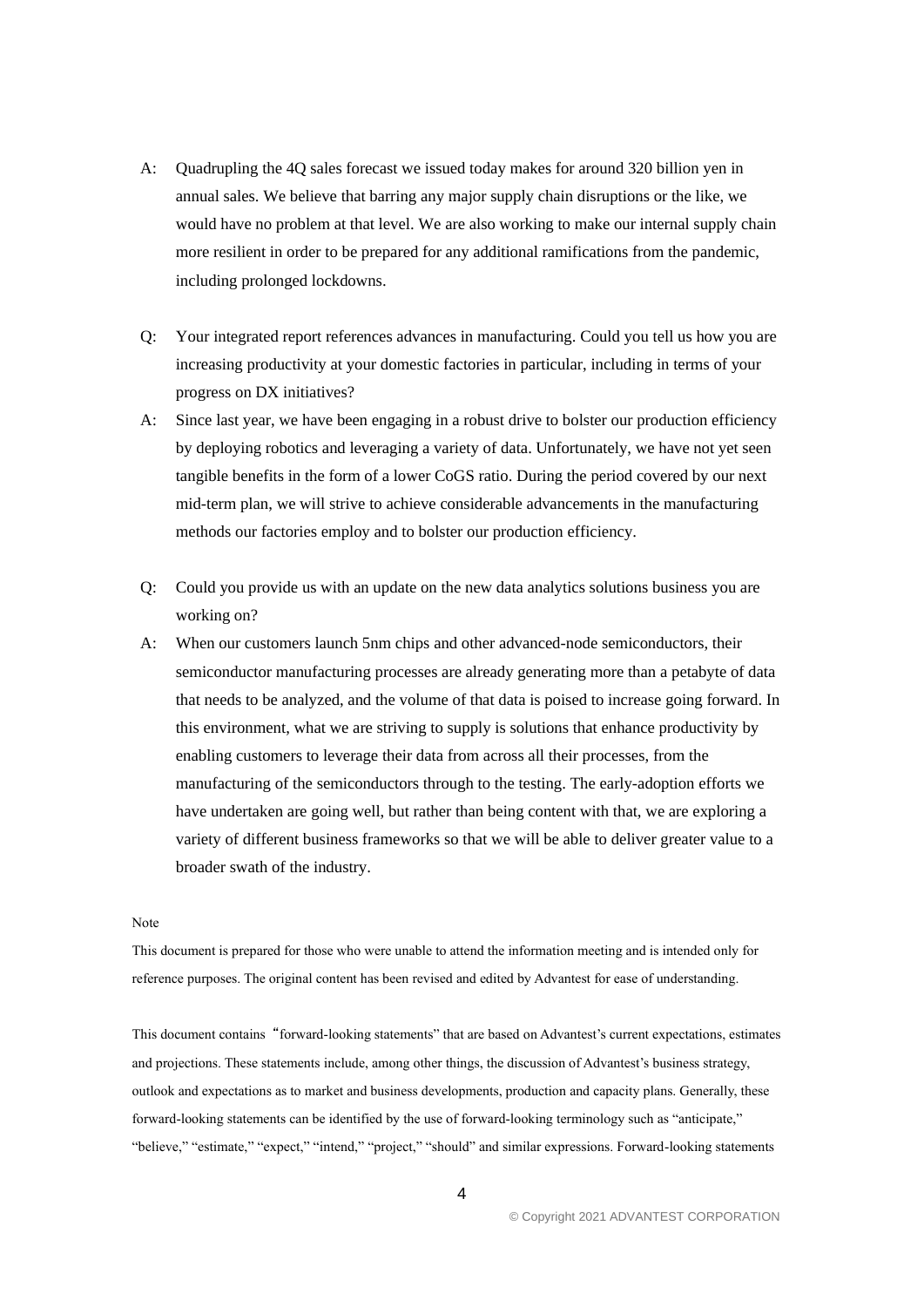- A: Quadrupling the 4Q sales forecast we issued today makes for around 320 billion yen in annual sales. We believe that barring any major supply chain disruptions or the like, we would have no problem at that level. We are also working to make our internal supply chain more resilient in order to be prepared for any additional ramifications from the pandemic, including prolonged lockdowns.
- Q: Your integrated report references advances in manufacturing. Could you tell us how you are increasing productivity at your domestic factories in particular, including in terms of your progress on DX initiatives?
- A: Since last year, we have been engaging in a robust drive to bolster our production efficiency by deploying robotics and leveraging a variety of data. Unfortunately, we have not yet seen tangible benefits in the form of a lower CoGS ratio. During the period covered by our next mid-term plan, we will strive to achieve considerable advancements in the manufacturing methods our factories employ and to bolster our production efficiency.
- Q: Could you provide us with an update on the new data analytics solutions business you are working on?
- A: When our customers launch 5nm chips and other advanced-node semiconductors, their semiconductor manufacturing processes are already generating more than a petabyte of data that needs to be analyzed, and the volume of that data is poised to increase going forward. In this environment, what we are striving to supply is solutions that enhance productivity by enabling customers to leverage their data from across all their processes, from the manufacturing of the semiconductors through to the testing. The early-adoption efforts we have undertaken are going well, but rather than being content with that, we are exploring a variety of different business frameworks so that we will be able to deliver greater value to a broader swath of the industry.

## Note

This document is prepared for those who were unable to attend the information meeting and is intended only for reference purposes. The original content has been revised and edited by Advantest for ease of understanding.

This document contains"forward-looking statements" that are based on Advantest's current expectations, estimates and projections. These statements include, among other things, the discussion of Advantest's business strategy, outlook and expectations as to market and business developments, production and capacity plans. Generally, these forward-looking statements can be identified by the use of forward-looking terminology such as "anticipate," "believe," "estimate," "expect," "intend," "project," "should" and similar expressions. Forward-looking statements